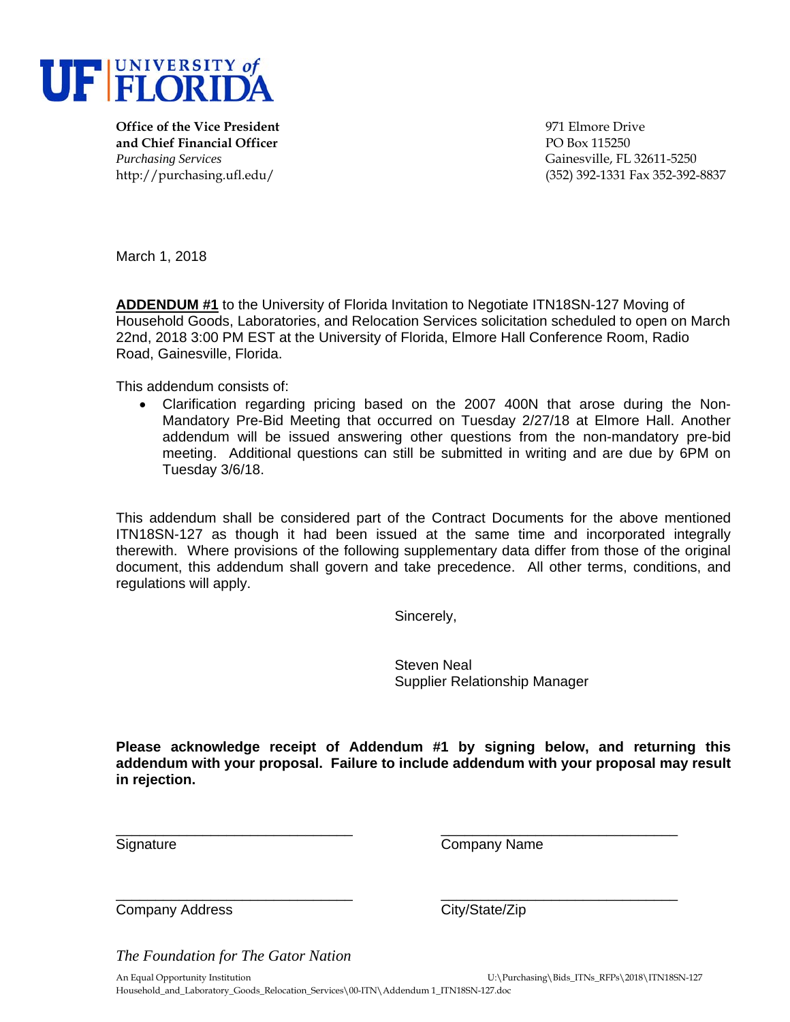

**Office of the Vice President** 971 Elmore Drive **and Chief Financial Officer** PO Box 115250 *Purchasing Services* Gainesville, FL 32611-5250

http://purchasing.ufl.edu/ (352) 392-1331 Fax 352-392-8837

March 1, 2018

**ADDENDUM #1** to the University of Florida Invitation to Negotiate ITN18SN-127 Moving of Household Goods, Laboratories, and Relocation Services solicitation scheduled to open on March 22nd, 2018 3:00 PM EST at the University of Florida, Elmore Hall Conference Room, Radio Road, Gainesville, Florida.

This addendum consists of:

 Clarification regarding pricing based on the 2007 400N that arose during the Non-Mandatory Pre-Bid Meeting that occurred on Tuesday 2/27/18 at Elmore Hall. Another addendum will be issued answering other questions from the non-mandatory pre-bid meeting. Additional questions can still be submitted in writing and are due by 6PM on Tuesday 3/6/18.

This addendum shall be considered part of the Contract Documents for the above mentioned ITN18SN-127 as though it had been issued at the same time and incorporated integrally therewith. Where provisions of the following supplementary data differ from those of the original document, this addendum shall govern and take precedence. All other terms, conditions, and regulations will apply.

Sincerely,

 Steven Neal Supplier Relationship Manager

**Please acknowledge receipt of Addendum #1 by signing below, and returning this addendum with your proposal. Failure to include addendum with your proposal may result in rejection.**

\_\_\_\_\_\_\_\_\_\_\_\_\_\_\_\_\_\_\_\_\_\_\_\_\_\_\_\_\_\_ \_\_\_\_\_\_\_\_\_\_\_\_\_\_\_\_\_\_\_\_\_\_\_\_\_\_\_\_\_\_

Signature Company Name

\_\_\_\_\_\_\_\_\_\_\_\_\_\_\_\_\_\_\_\_\_\_\_\_\_\_\_\_\_\_ \_\_\_\_\_\_\_\_\_\_\_\_\_\_\_\_\_\_\_\_\_\_\_\_\_\_\_\_\_\_ Company Address Company Address City/State/Zip

*The Foundation for The Gator Nation*